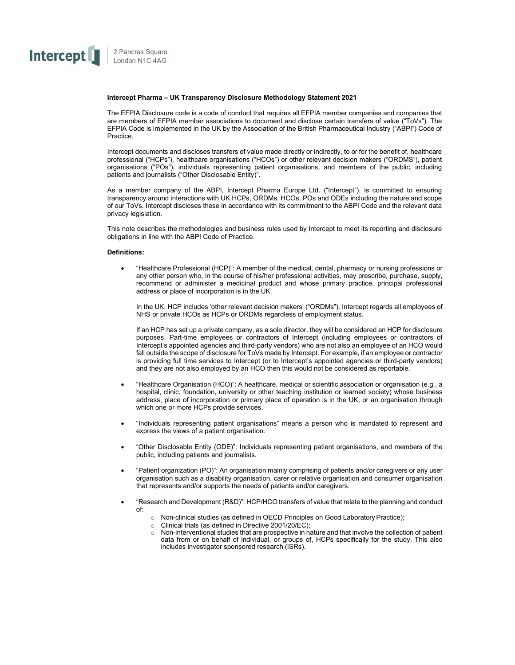

## **Intercept Pharma – UK Transparency Disclosure Methodology Statement 2021**

The EFPIA Disclosure code is a code of conduct that requires all EFPIA member companies and companies that are members of EFPIA member associations to document and disclose certain transfers of value ("ToVs"). The EFPIA Code is implemented in the UK by the Association of the British Pharmaceutical Industry ("ABPI") Code of Practice.

Intercept documents and discloses transfers of value made directly or indirectly, to or for the benefit of, healthcare professional ("HCPs"), healthcare organisations ("HCOs") or other relevant decision makers ("ORDMS"), patient organisations ("POs"), individuals representing patient organisations, and members of the public, including patients and journalists ("Other Disclosable Entity)".

As a member company of the ABPI, Intercept Pharma Europe Ltd. ("Intercept"), is committed to ensuring transparency around interactions with UK HCPs, ORDMs, HCOs, POs and ODEs including the nature and scope of our ToVs. Intercept discloses these in accordance with its commitment to the ABPI Code and the relevant data privacy legislation.

This note describes the methodologies and business rules used by Intercept to meet its reporting and disclosure obligations in line with the ABPI Code of Practice.

## **Definitions:**

• "Healthcare Professional (HCP)": A member of the medical, dental, pharmacy or nursing professions or any other person who, in the course of his/her professional activities, may prescribe, purchase, supply, recommend or administer a medicinal product and whose primary practice, principal professional address or place of incorporation is in the UK.

In the UK, HCP includes 'other relevant decision makers' ("ORDMs"). Intercept regards all employees of NHS or private HCOs as HCPs or ORDMs regardless of employment status.

If an HCP has set up a private company, as a sole director, they will be considered an HCP for disclosure purposes. Part-time employees or contractors of Intercept (including employees or contractors of Intercept's appointed agencies and third-party vendors) who are not also an employee of an HCO would fall outside the scope of disclosure for ToVs made by Intercept. For example, if an employee or contractor is providing full time services to Intercept (or to Intercept's appointed agencies or third-party vendors) and they are not also employed by an HCO then this would not be considered as reportable.

- "Healthcare Organisation (HCO)": A healthcare, medical or scientific association or organisation (e.g., a hospital, clinic, foundation, university or other teaching institution or learned society) whose business address, place of incorporation or primary place of operation is in the UK; or an organisation through which one or more HCPs provide services.
- "Individuals representing patient organisations" means a person who is mandated to represent and express the views of a patient organisation.
- "Other Disclosable Entity (ODE)": Individuals representing patient organisations, and members of the public, including patients and journalists.
- "Patient organization (PO)": An organisation mainly comprising of patients and/or caregivers or any user organisation such as a disability organisation, carer or relative organisation and consumer organisation that represents and/or supports the needs of patients and/or caregivers.
- "Research and Development (R&D)": HCP/HCO transfers of value that relate to the planning and conduct of:
	- o Non-clinical studies (as defined in OECD Principles on Good LaboratoryPractice);
	- $\circ$  Clinical trials (as defined in Directive 2001/20/EC);<br> $\circ$  Non-interventional studies that are prospective in n
	- Non-interventional studies that are prospective in nature and that involve the collection of patient data from or on behalf of individual, or groups of, HCPs specifically for the study. This also includes investigator sponsored research (ISRs).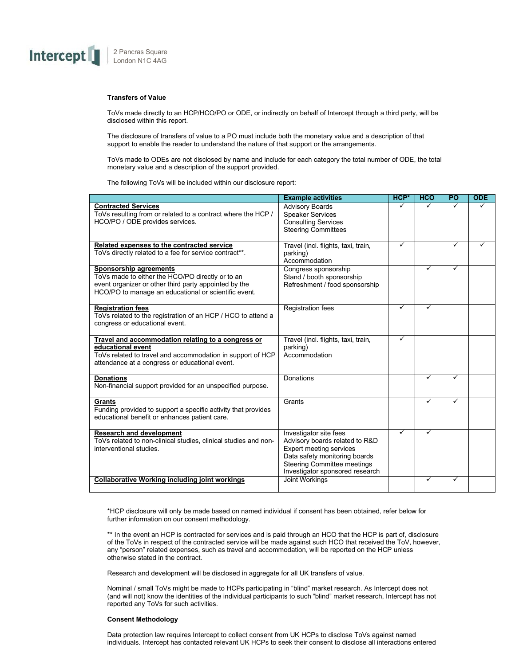

# **Transfers of Value**

ToVs made directly to an HCP/HCO/PO or ODE, or indirectly on behalf of Intercept through a third party, will be disclosed within this report.

The disclosure of transfers of value to a PO must include both the monetary value and a description of that support to enable the reader to understand the nature of that support or the arrangements.

ToVs made to ODEs are not disclosed by name and include for each category the total number of ODE, the total monetary value and a description of the support provided.

The following ToVs will be included within our disclosure report:

|                                                                                                                                                                                             | <b>Example activities</b>                                                                                                                                                                     | HCP* | <b>HCO</b> | <b>PO</b> | <b>ODE</b> |
|---------------------------------------------------------------------------------------------------------------------------------------------------------------------------------------------|-----------------------------------------------------------------------------------------------------------------------------------------------------------------------------------------------|------|------------|-----------|------------|
| <b>Contracted Services</b><br>ToVs resulting from or related to a contract where the HCP /<br>HCO/PO / ODE provides services.                                                               | <b>Advisory Boards</b><br><b>Speaker Services</b><br><b>Consulting Services</b><br><b>Steering Committees</b>                                                                                 |      |            |           |            |
| Related expenses to the contracted service<br>ToVs directly related to a fee for service contract**.                                                                                        | Travel (incl. flights, taxi, train,<br>parking)<br>Accommodation                                                                                                                              | ✓    |            | ✓         |            |
| Sponsorship agreements<br>ToVs made to either the HCO/PO directly or to an<br>event organizer or other third party appointed by the<br>HCO/PO to manage an educational or scientific event. | Congress sponsorship<br>Stand / booth sponsorship<br>Refreshment / food sponsorship                                                                                                           |      | ✓          | ✓         |            |
| <b>Registration fees</b><br>ToVs related to the registration of an HCP / HCO to attend a<br>congress or educational event.                                                                  | <b>Registration fees</b>                                                                                                                                                                      | ✓    | ✓          |           |            |
| Travel and accommodation relating to a congress or<br>educational event<br>ToVs related to travel and accommodation in support of HCP<br>attendance at a congress or educational event.     | Travel (incl. flights, taxi, train,<br>parking)<br>Accommodation                                                                                                                              | ✓    |            |           |            |
| <b>Donations</b><br>Non-financial support provided for an unspecified purpose.                                                                                                              | Donations                                                                                                                                                                                     |      | ✓          |           |            |
| Grants<br>Funding provided to support a specific activity that provides<br>educational benefit or enhances patient care.                                                                    | Grants                                                                                                                                                                                        |      | ✓          | ✓         |            |
| <b>Research and development</b><br>ToVs related to non-clinical studies, clinical studies and non-<br>interventional studies.                                                               | Investigator site fees<br>Advisory boards related to R&D<br><b>Expert meeting services</b><br>Data safety monitoring boards<br>Steering Committee meetings<br>Investigator sponsored research | ✓    | ✓          |           |            |
| <b>Collaborative Working including joint workings</b>                                                                                                                                       | <b>Joint Workings</b>                                                                                                                                                                         |      | ✓          | ✓         |            |

\*HCP disclosure will only be made based on named individual if consent has been obtained, refer below for further information on our consent methodology.

\*\* In the event an HCP is contracted for services and is paid through an HCO that the HCP is part of, disclosure of the ToVs in respect of the contracted service will be made against such HCO that received the ToV, however, any "person" related expenses, such as travel and accommodation, will be reported on the HCP unless otherwise stated in the contract.

Research and development will be disclosed in aggregate for all UK transfers of value.

Nominal / small ToVs might be made to HCPs participating in "blind" market research. As Intercept does not (and will not) know the identities of the individual participants to such "blind" market research, Intercept has not reported any ToVs for such activities.

## **Consent Methodology**

Data protection law requires Intercept to collect consent from UK HCPs to disclose ToVs against named individuals. Intercept has contacted relevant UK HCPs to seek their consent to disclose all interactions entered